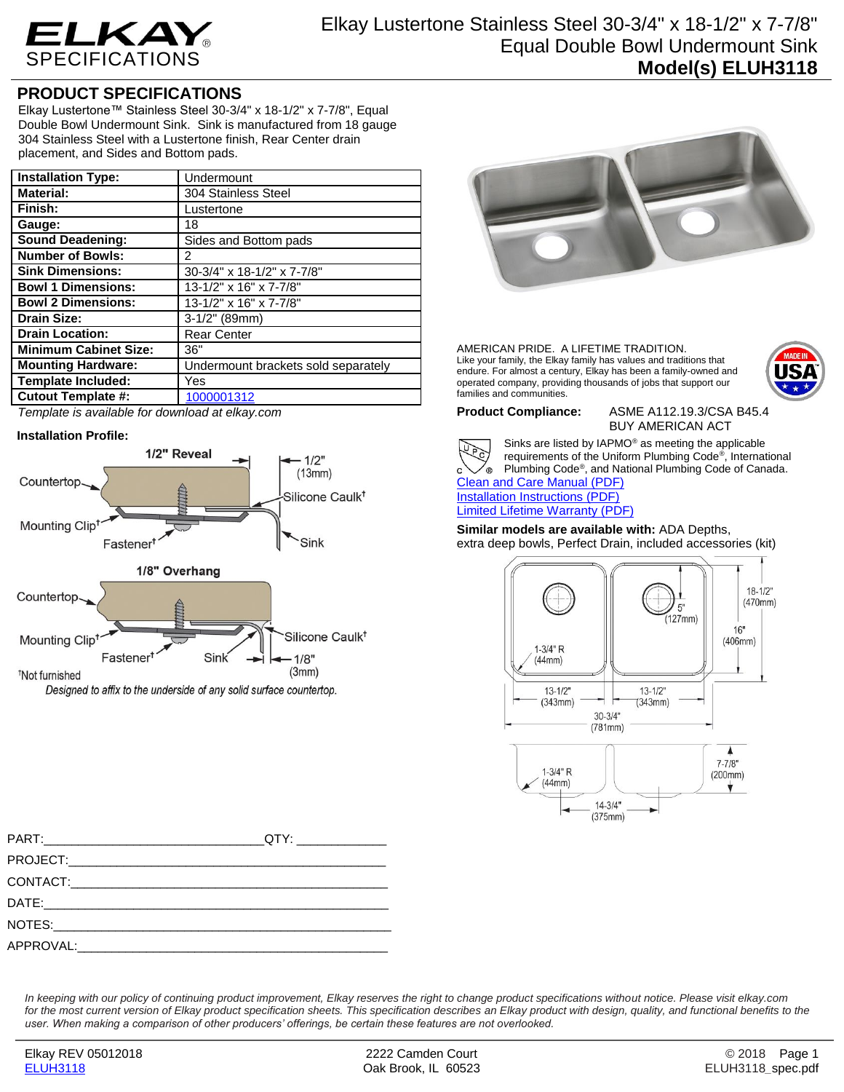

## **PRODUCT SPECIFICATIONS**

Elkay Lustertone™ Stainless Steel 30-3/4" x 18-1/2" x 7-7/8", Equal Double Bowl Undermount Sink. Sink is manufactured from 18 gauge 304 Stainless Steel with a Lustertone finish, Rear Center drain placement, and Sides and Bottom pads.

| <b>Installation Type:</b>    | Undermount                          |
|------------------------------|-------------------------------------|
| <b>Material:</b>             | 304 Stainless Steel                 |
| Finish:                      | Lustertone                          |
| Gauge:                       | 18                                  |
| <b>Sound Deadening:</b>      | Sides and Bottom pads               |
| <b>Number of Bowls:</b>      | 2                                   |
| <b>Sink Dimensions:</b>      | 30-3/4" x 18-1/2" x 7-7/8"          |
| <b>Bowl 1 Dimensions:</b>    | 13-1/2" x 16" x 7-7/8"              |
| <b>Bowl 2 Dimensions:</b>    | 13-1/2" x 16" x 7-7/8"              |
| <b>Drain Size:</b>           | $3-1/2"$ (89mm)                     |
| <b>Drain Location:</b>       | <b>Rear Center</b>                  |
| <b>Minimum Cabinet Size:</b> | 36"                                 |
| <b>Mounting Hardware:</b>    | Undermount brackets sold separately |
| <b>Template Included:</b>    | Yes                                 |
| <b>Cutout Template #:</b>    | 1000001312                          |

*Template is available for download at elkay.com*

## **Installation Profile:**



Designed to affix to the underside of any solid surface countertop.



AMERICAN PRIDE. A LIFETIME TRADITION. Like your family, the Elkay family has values and traditions that endure. For almost a century, Elkay has been a family-owned and operated company, providing thousands of jobs that support our families and communities.



**Product Compliance:** ASME A112.19.3/CSA B45.4 BUY AMERICAN ACT



Sinks are listed by IAPMO® as meeting the applicable requirements of the Uniform Plumbing Code® , International Plumbing Code® , and National Plumbing Code of Canada. [Clean and Care Manual \(PDF\)](http://www.elkay.com/wcsstore/lkdocs/care-cleaning-install-warranty-sheets/residential%20and%20commercial%20care%20%20cleaning.pdf)

[Installation Instructions \(PDF\)](http://www.elkay.com/wcsstore/lkdocs/care-cleaning-install-warranty-sheets/1000002045.pdf) [Limited Lifetime Warranty](http://www.elkay.com/wcsstore/lkdocs/care-cleaning-install-warranty-sheets/residential%20sinks%20warranty.pdf) (PDF)

**Similar models are available with:** ADA Depths, extra deep bowls, Perfect Drain, included accessories (kit)



| PART: A PART A PART AND A PART AND A PART AND A PART AND A PART AND A PART AND A PART AND A PART AND A PART AND A PART AND A PART AND A PART AND A PART AND A PART AND A PART AND A PART AND A PART AND A PART AND A PART AND |  |
|-------------------------------------------------------------------------------------------------------------------------------------------------------------------------------------------------------------------------------|--|
|                                                                                                                                                                                                                               |  |
|                                                                                                                                                                                                                               |  |
|                                                                                                                                                                                                                               |  |
|                                                                                                                                                                                                                               |  |
|                                                                                                                                                                                                                               |  |

*In keeping with our policy of continuing product improvement, Elkay reserves the right to change product specifications without notice. Please visit elkay.com*  for the most current version of Elkay product specification sheets. This specification describes an Elkay product with design, quality, and functional benefits to the *user. When making a comparison of other producers' offerings, be certain these features are not overlooked.*